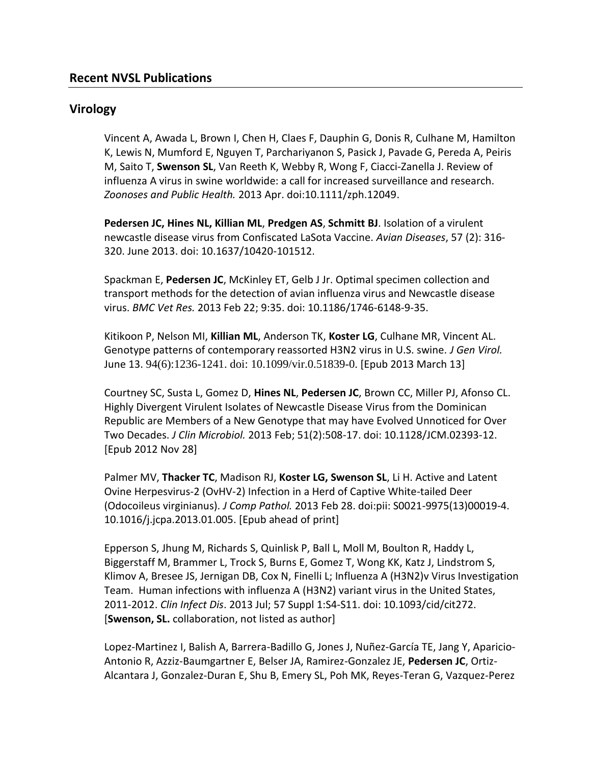## **Virology**

Vincent A, Awada L, Brown I, Chen H, Claes F, Dauphin G, Donis R, Culhane M, Hamilton K, Lewis N, Mumford E, Nguyen T, Parchariyanon S, Pasick J, Pavade G, Pereda A, Peiris M, Saito T, **Swenson SL**, Van Reeth K, Webby R, Wong F, Ciacci-Zanella J. Review of influenza A virus in swine worldwide: a call for increased surveillance and research. *Zoonoses and Public Health.* 2013 Apr. doi:10.1111/zph.12049.

**Pedersen JC, Hines NL, Killian ML**, **Predgen AS**, **Schmitt BJ**. Isolation of a virulent newcastle disease virus from Confiscated LaSota Vaccine. *Avian Diseases*, 57 (2): 316- 320. June 2013. doi: 10.1637/10420-101512.

Spackman E, **Pedersen JC**, McKinley ET, Gelb J Jr. Optimal specimen collection and transport methods for the detection of avian influenza virus and Newcastle disease virus. *BMC Vet Res.* 2013 Feb 22; 9:35. doi: 10.1186/1746-6148-9-35.

Kitikoon P, Nelson MI, **Killian ML**, Anderson TK, **Koster LG**, Culhane MR, Vincent AL. Genotype patterns of contemporary reassorted H3N2 virus in U.S. swine. *J Gen Virol.* June 13. 94(6):1236-1241. doi: 10.1099/vir.0.51839-0. [Epub 2013 March 13]

Courtney SC, Susta L, Gomez D, **Hines NL**, **Pedersen JC**, Brown CC, Miller PJ, Afonso CL. Highly Divergent Virulent Isolates of Newcastle Disease Virus from the Dominican Republic are Members of a New Genotype that may have Evolved Unnoticed for Over Two Decades. *J Clin Microbiol.* 2013 Feb; 51(2):508-17. doi: 10.1128/JCM.02393-12. [Epub 2012 Nov 28]

Palmer MV, **Thacker TC**, Madison RJ, **Koster LG, Swenson SL**, Li H. Active and Latent Ovine Herpesvirus-2 (OvHV-2) Infection in a Herd of Captive White-tailed Deer (Odocoileus virginianus). *J Comp Pathol.* 2013 Feb 28. doi:pii: S0021-9975(13)00019-4. 10.1016/j.jcpa.2013.01.005. [Epub ahead of print]

Epperson S, Jhung M, Richards S, Quinlisk P, Ball L, Moll M, Boulton R, Haddy L, Biggerstaff M, Brammer L, Trock S, Burns E, Gomez T, Wong KK, Katz J, Lindstrom S, Klimov A, Bresee JS, Jernigan DB, Cox N, Finelli L; Influenza A (H3N2)v Virus Investigation Team. Human infections with influenza A (H3N2) variant virus in the United States, 2011-2012. *Clin Infect Dis*. 2013 Jul; 57 Suppl 1:S4-S11. doi: 10.1093/cid/cit272. [**Swenson, SL.** collaboration, not listed as author]

Lopez-Martinez I, Balish A, Barrera-Badillo G, Jones J, Nuñez-García TE, Jang Y, Aparicio-Antonio R, Azziz-Baumgartner E, Belser JA, Ramirez-Gonzalez JE, **Pedersen JC**, Ortiz-Alcantara J, Gonzalez-Duran E, Shu B, Emery SL, Poh MK, Reyes-Teran G, Vazquez-Perez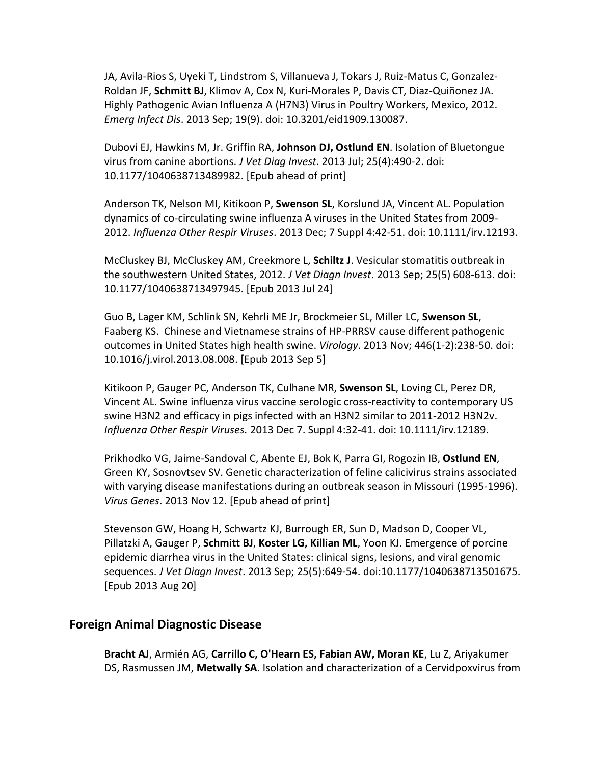JA, Avila-Rios S, Uyeki T, Lindstrom S, Villanueva J, Tokars J, Ruiz-Matus C, Gonzalez-Roldan JF, **Schmitt BJ**, Klimov A, Cox N, Kuri-Morales P, Davis CT, Diaz-Quiñonez JA. Highly Pathogenic Avian Influenza A (H7N3) Virus in Poultry Workers, Mexico, 2012. *Emerg Infect Dis*. 2013 Sep; 19(9). doi: 10.3201/eid1909.130087.

Dubovi EJ, Hawkins M, Jr. Griffin RA, **Johnson DJ, Ostlund EN**. Isolation of Bluetongue virus from canine abortions. *J Vet Diag Invest*. 2013 Jul; 25(4):490-2. doi: 10.1177/1040638713489982. [Epub ahead of print]

Anderson TK, Nelson MI, Kitikoon P, **Swenson SL**, Korslund JA, Vincent AL. Population dynamics of co-circulating swine influenza A viruses in the United States from 2009- 2012. *Influenza Other Respir Viruses*. 2013 Dec; 7 Suppl 4:42-51. doi: 10.1111/irv.12193.

McCluskey BJ, McCluskey AM, Creekmore L, **Schiltz J**. Vesicular stomatitis outbreak in the southwestern United States, 2012. *J Vet Diagn Invest*. 2013 Sep; 25(5) 608-613. doi: 10.1177/1040638713497945. [Epub 2013 Jul 24]

Guo B, Lager KM, Schlink SN, Kehrli ME Jr, Brockmeier SL, Miller LC, **Swenson SL**, Faaberg KS. Chinese and Vietnamese strains of HP-PRRSV cause different pathogenic outcomes in United States high health swine. *Virology*. 2013 Nov; 446(1-2):238-50. doi: 10.1016/j.virol.2013.08.008. [Epub 2013 Sep 5]

Kitikoon P, Gauger PC, Anderson TK, Culhane MR, **Swenson SL**, Loving CL, Perez DR, Vincent AL. Swine influenza virus vaccine serologic cross-reactivity to contemporary US swine H3N2 and efficacy in pigs infected with an H3N2 similar to 2011-2012 H3N2v. *Influenza Other Respir Viruses.* 2013 Dec 7. Suppl 4:32-41. doi: 10.1111/irv.12189.

Prikhodko VG, Jaime-Sandoval C, Abente EJ, Bok K, Parra GI, Rogozin IB, **Ostlund EN**, Green KY, Sosnovtsev SV. Genetic characterization of feline calicivirus strains associated with varying disease manifestations during an outbreak season in Missouri (1995-1996). *Virus Genes*. 2013 Nov 12. [Epub ahead of print]

Stevenson GW, Hoang H, Schwartz KJ, Burrough ER, Sun D, Madson D, Cooper VL, Pillatzki A, Gauger P, **Schmitt BJ**, **Koster LG, Killian ML**, Yoon KJ. Emergence of porcine epidemic diarrhea virus in the United States: clinical signs, lesions, and viral genomic sequences. *J Vet Diagn Invest*. 2013 Sep; 25(5):649-54. doi:10.1177/1040638713501675. [Epub 2013 Aug 20]

#### **Foreign Animal Diagnostic Disease**

**Bracht AJ**, Armién AG, **Carrillo C, O'Hearn ES, Fabian AW, Moran KE**, Lu Z, Ariyakumer DS, Rasmussen JM, **Metwally SA**. Isolation and characterization of a Cervidpoxvirus from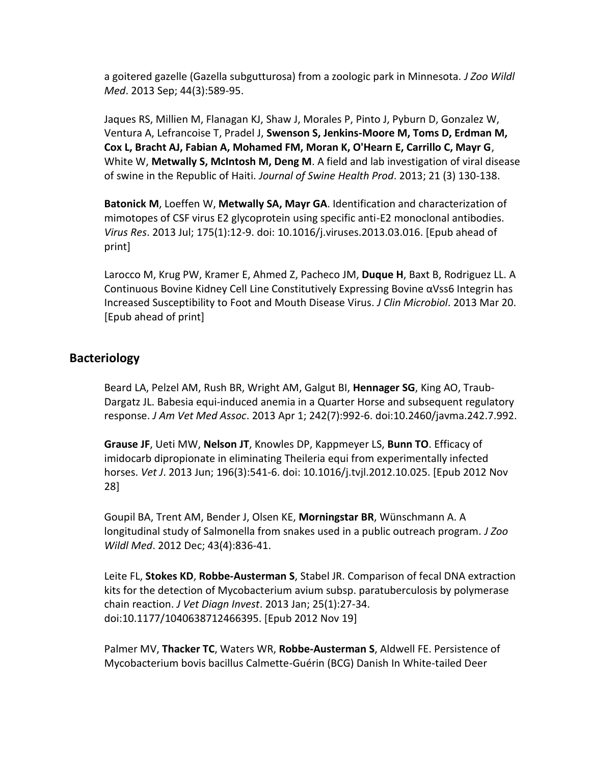a goitered gazelle (Gazella subgutturosa) from a zoologic park in Minnesota. *J Zoo Wildl Med*. 2013 Sep; 44(3):589-95.

Jaques RS, Millien M, Flanagan KJ, Shaw J, Morales P, Pinto J, Pyburn D, Gonzalez W, Ventura A, Lefrancoise T, Pradel J, **Swenson S, Jenkins-Moore M, Toms D, Erdman M, Cox L, Bracht AJ, Fabian A, Mohamed FM, Moran K, O'Hearn E, Carrillo C, Mayr G**, White W, **Metwally S, McIntosh M, Deng M**. A field and lab investigation of viral disease of swine in the Republic of Haiti. *Journal of Swine Health Prod*. 2013; 21 (3) 130-138.

**Batonick M**, Loeffen W, **Metwally SA, Mayr GA**. Identification and characterization of mimotopes of CSF virus E2 glycoprotein using specific anti-E2 monoclonal antibodies. *Virus Res*. 2013 Jul; 175(1):12-9. doi: 10.1016/j.viruses.2013.03.016. [Epub ahead of print]

Larocco M, Krug PW, Kramer E, Ahmed Z, Pacheco JM, **Duque H**, Baxt B, Rodriguez LL. A Continuous Bovine Kidney Cell Line Constitutively Expressing Bovine αVss6 Integrin has Increased Susceptibility to Foot and Mouth Disease Virus. *J Clin Microbiol*. 2013 Mar 20. [Epub ahead of print]

### **Bacteriology**

Beard LA, Pelzel AM, Rush BR, Wright AM, Galgut BI, **Hennager SG**, King AO, Traub-Dargatz JL. Babesia equi-induced anemia in a Quarter Horse and subsequent regulatory response. *J Am Vet Med Assoc*. 2013 Apr 1; 242(7):992-6. doi:10.2460/javma.242.7.992.

**Grause JF**, Ueti MW, **Nelson JT**, Knowles DP, Kappmeyer LS, **Bunn TO**. Efficacy of imidocarb dipropionate in eliminating Theileria equi from experimentally infected horses. *Vet J*. 2013 Jun; 196(3):541-6. doi: 10.1016/j.tvjl.2012.10.025. [Epub 2012 Nov 28]

Goupil BA, Trent AM, Bender J, Olsen KE, **Morningstar BR**, Wünschmann A. A longitudinal study of Salmonella from snakes used in a public outreach program. *J Zoo Wildl Med*. 2012 Dec; 43(4):836-41.

Leite FL, **Stokes KD**, **Robbe-Austerman S**, Stabel JR. Comparison of fecal DNA extraction kits for the detection of Mycobacterium avium subsp. paratuberculosis by polymerase chain reaction. *J Vet Diagn Invest*. 2013 Jan; 25(1):27-34. doi:10.1177/1040638712466395. [Epub 2012 Nov 19]

Palmer MV, **Thacker TC**, Waters WR, **Robbe-Austerman S**, Aldwell FE. Persistence of Mycobacterium bovis bacillus Calmette-Guérin (BCG) Danish In White-tailed Deer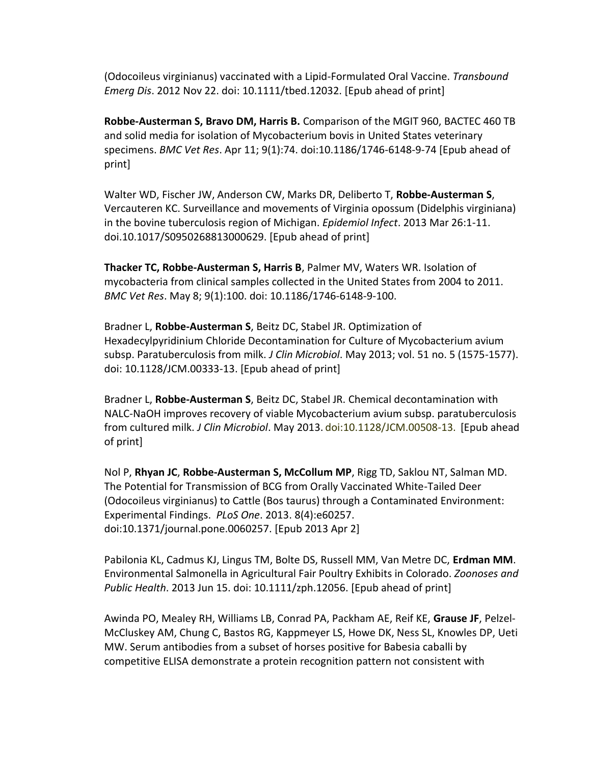(Odocoileus virginianus) vaccinated with a Lipid-Formulated Oral Vaccine. *Transbound Emerg Dis*. 2012 Nov 22. doi: 10.1111/tbed.12032. [Epub ahead of print]

**Robbe-Austerman S, Bravo DM, Harris B.** Comparison of the MGIT 960, BACTEC 460 TB and solid media for isolation of Mycobacterium bovis in United States veterinary specimens. *BMC Vet Res*. Apr 11; 9(1):74. doi:10.1186/1746-6148-9-74 [Epub ahead of print]

Walter WD, Fischer JW, Anderson CW, Marks DR, Deliberto T, **Robbe-Austerman S**, Vercauteren KC. Surveillance and movements of Virginia opossum (Didelphis virginiana) in the bovine tuberculosis region of Michigan. *Epidemiol Infect*. 2013 Mar 26:1-11. doi.10.1017/S0950268813000629. [Epub ahead of print]

**Thacker TC, Robbe-Austerman S, Harris B**, Palmer MV, Waters WR. Isolation of mycobacteria from clinical samples collected in the United States from 2004 to 2011. *BMC Vet Res*. May 8; 9(1):100. doi: 10.1186/1746-6148-9-100.

Bradner L, **Robbe-Austerman S**, Beitz DC, Stabel JR. Optimization of Hexadecylpyridinium Chloride Decontamination for Culture of Mycobacterium avium subsp. Paratuberculosis from milk. *J Clin Microbiol*. May 2013; vol. 51 no. 5 (1575-1577). doi: 10.1128/JCM.00333-13. [Epub ahead of print]

Bradner L, **Robbe-Austerman S**, Beitz DC, Stabel JR. Chemical decontamination with NALC-NaOH improves recovery of viable Mycobacterium avium subsp. paratuberculosis from cultured milk. *J Clin Microbiol*. May 2013. doi:10.1128/JCM.00508-13. [Epub ahead of print]

Nol P, **Rhyan JC**, **Robbe-Austerman S, McCollum MP**, Rigg TD, Saklou NT, Salman MD. The Potential for Transmission of BCG from Orally Vaccinated White-Tailed Deer (Odocoileus virginianus) to Cattle (Bos taurus) through a Contaminated Environment: Experimental Findings. *PLoS One*. 2013. 8(4):e60257. doi:10.1371/journal.pone.0060257. [Epub 2013 Apr 2]

Pabilonia KL, Cadmus KJ, Lingus TM, Bolte DS, Russell MM, Van Metre DC, **Erdman MM**. Environmental Salmonella in Agricultural Fair Poultry Exhibits in Colorado. *Zoonoses and Public Health*. 2013 Jun 15. doi: 10.1111/zph.12056. [Epub ahead of print]

Awinda PO, Mealey RH, Williams LB, Conrad PA, Packham AE, Reif KE, **Grause JF**, Pelzel-McCluskey AM, Chung C, Bastos RG, Kappmeyer LS, Howe DK, Ness SL, Knowles DP, Ueti MW. Serum antibodies from a subset of horses positive for Babesia caballi by competitive ELISA demonstrate a protein recognition pattern not consistent with